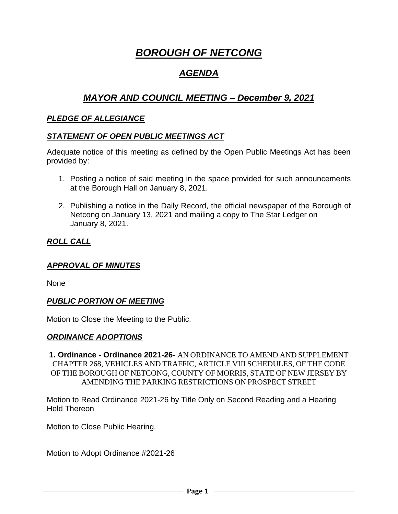# *BOROUGH OF NETCONG*

## *AGENDA*

## *MAYOR AND COUNCIL MEETING – December 9, 2021*

## *PLEDGE OF ALLEGIANCE*

## *STATEMENT OF OPEN PUBLIC MEETINGS ACT*

Adequate notice of this meeting as defined by the Open Public Meetings Act has been provided by:

- 1. Posting a notice of said meeting in the space provided for such announcements at the Borough Hall on January 8, 2021.
- 2. Publishing a notice in the Daily Record, the official newspaper of the Borough of Netcong on January 13, 2021 and mailing a copy to The Star Ledger on January 8, 2021.

## *ROLL CALL*

## *APPROVAL OF MINUTES*

None

## *PUBLIC PORTION OF MEETING*

Motion to Close the Meeting to the Public.

## *ORDINANCE ADOPTIONS*

**1. Ordinance - Ordinance 2021-26-** AN ORDINANCE TO AMEND AND SUPPLEMENT CHAPTER 268, VEHICLES AND TRAFFIC, ARTICLE VIII SCHEDULES, OF THE CODE OF THE BOROUGH OF NETCONG, COUNTY OF MORRIS, STATE OF NEW JERSEY BY AMENDING THE PARKING RESTRICTIONS ON PROSPECT STREET

Motion to Read Ordinance 2021-26 by Title Only on Second Reading and a Hearing Held Thereon

Motion to Close Public Hearing.

Motion to Adopt Ordinance #2021-26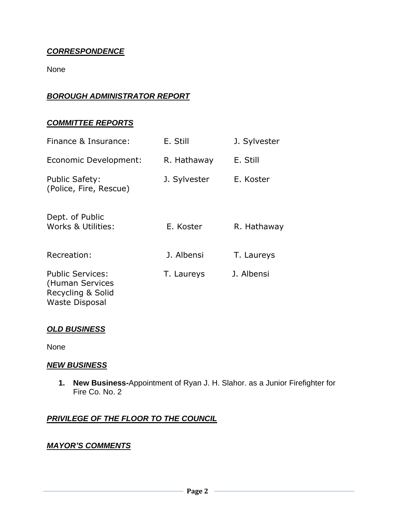## *CORRESPONDENCE*

None

## *BOROUGH ADMINISTRATOR REPORT*

## *COMMITTEE REPORTS*

| Finance & Insurance:                                                                     | E. Still     | J. Sylvester |
|------------------------------------------------------------------------------------------|--------------|--------------|
| Economic Development:                                                                    | R. Hathaway  | E. Still     |
| <b>Public Safety:</b><br>(Police, Fire, Rescue)                                          | J. Sylvester | E. Koster    |
| Dept. of Public<br>Works & Utilities:                                                    | E. Koster    | R. Hathaway  |
| Recreation:                                                                              | J. Albensi   | T. Laureys   |
| <b>Public Services:</b><br>(Human Services<br>Recycling & Solid<br><b>Waste Disposal</b> | T. Laureys   | J. Albensi   |

## *OLD BUSINESS*

None

#### *NEW BUSINESS*

**1. New Business-**Appointment of Ryan J. H. Slahor. as a Junior Firefighter for Fire Co. No. 2

## *PRIVILEGE OF THE FLOOR TO THE COUNCIL*

#### *MAYOR'S COMMENTS*